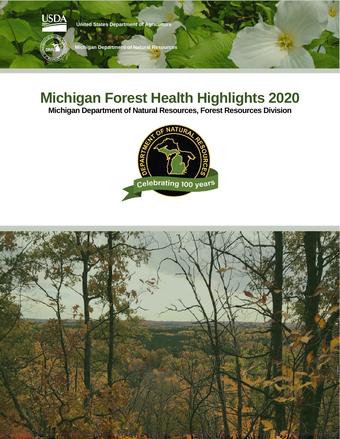

# **Michigan Forest Health Highlights 2020**

**Michigan Department of Natural Resources, Forest Resources Division**



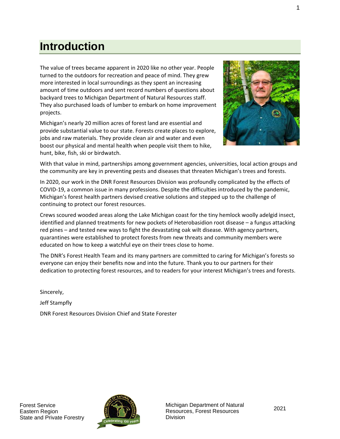### **Introduction**

The value of trees became apparent in 2020 like no other year. People turned to the outdoors for recreation and peace of mind. They grew more interested in local surroundings as they spent an increasing amount of time outdoors and sent record numbers of questions about backyard trees to Michigan Department of Natural Resources staff. They also purchased loads of lumber to embark on home improvement projects.

Michigan's nearly 20 million acres of forest land are essential and provide substantial value to our state. Forests create places to explore, jobs and raw materials. They provide clean air and water and even boost our physical and mental health when people visit them to hike, hunt, bike, fish, ski or birdwatch.



With that value in mind, partnerships among government agencies, universities, local action groups and the community are key in preventing pests and diseases that threaten Michigan's trees and forests.

In 2020, our work in the DNR Forest Resources Division was profoundly complicated by the effects of COVID-19, a common issue in many professions. Despite the difficulties introduced by the pandemic, Michigan's forest health partners devised creative solutions and stepped up to the challenge of continuing to protect our forest resources.

Crews scoured wooded areas along the Lake Michigan coast for the tiny hemlock woolly adelgid insect, identified and planned treatments for new pockets of Heterobasidion root disease – a fungus attacking red pines – and tested new ways to fight the devastating oak wilt disease. With agency partners, quarantines were established to protect forests from new threats and community members were educated on how to keep a watchful eye on their trees close to home.

The DNR's Forest Health Team and its many partners are committed to caring for Michigan's forests so everyone can enjoy their benefits now and into the future. Thank you to our partners for their dedication to protecting forest resources, and to readers for your interest Michigan's trees and forests.

Sincerely, Jeff Stampfly DNR Forest Resources Division Chief and State Forester



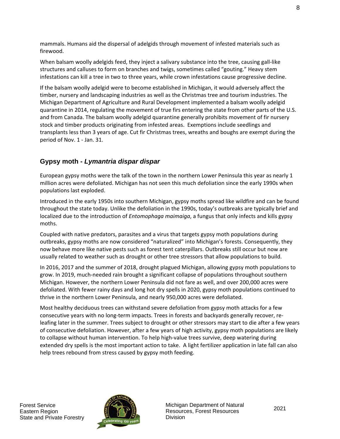mammals. Humans aid the dispersal of adelgids through movement of infested materials such as firewood.

When balsam woolly adelgids feed, they inject a salivary substance into the tree, causing gall-like structures and calluses to form on branches and twigs, sometimes called "gouting." Heavy stem infestations can kill a tree in two to three years, while crown infestations cause progressive decline.

If the balsam woolly adelgid were to become established in Michigan, it would adversely affect the timber, nursery and landscaping industries as well as the Christmas tree and tourism industries. The Michigan Department of Agriculture and Rural Development implemented a balsam woolly adelgid quarantine in 2014, regulating the movement of true firs entering the state from other parts of the U.S. and from Canada. The balsam woolly adelgid quarantine generally prohibits movement of fir nursery stock and timber products originating from infested areas. Exemptions include seedlings and transplants less than 3 years of age. Cut fir Christmas trees, wreaths and boughs are exempt during the period of Nov. 1 - Jan. 31.

#### **Gypsy moth -** *Lymantria dispar dispar*

European gypsy moths were the talk of the town in the northern Lower Peninsula this year as nearly 1 million acres were defoliated. Michigan has not seen this much defoliation since the early 1990s when populations last exploded.

Introduced in the early 1950s into southern Michigan, gypsy moths spread like wildfire and can be found throughout the state today. Unlike the defoliation in the 1990s, today's outbreaks are typically brief and localized due to the introduction of *Entomophaga maimaiga*, a fungus that only infects and kills gypsy moths.

Coupled with native predators, parasites and a virus that targets gypsy moth populations during outbreaks, gypsy moths are now considered "naturalized" into Michigan's forests. Consequently, they now behave more like native pests such as forest tent caterpillars. Outbreaks still occur but now are usually related to weather such as drought or other tree stressors that allow populations to build.

In 2016, 2017 and the summer of 2018, drought plagued Michigan, allowing gypsy moth populations to grow. In 2019, much-needed rain brought a significant collapse of populations throughout southern Michigan. However, the northern Lower Peninsula did not fare as well, and over 200,000 acres were defoliated. With fewer rainy days and long hot dry spells in 2020, gypsy moth populations continued to thrive in the northern Lower Peninsula, and nearly 950,000 acres were defoliated.

Most healthy deciduous trees can withstand severe defoliation from gypsy moth attacks for a few consecutive years with no long-term impacts. Trees in forests and backyards generally recover, releafing later in the summer. Trees subject to drought or other stressors may start to die after a few years of consecutive defoliation. However, after a few years of high activity, gypsy moth populations are likely to collapse without human intervention. To help high-value trees survive, deep watering during extended dry spells is the most important action to take. A light fertilizer application in late fall can also help trees rebound from stress caused by gypsy moth feeding.

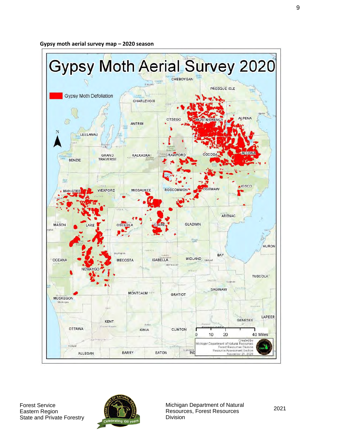**Gypsy moth aerial survey map – 2020 season**





Michigan Department of Natural Resources, Forest Resources Division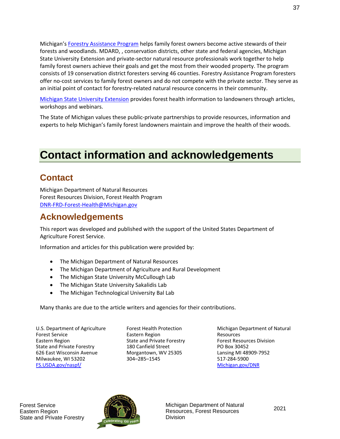Michigan'[s Forestry Assistance Program](https://www.michigan.gov/mifap) helps family forest owners become active stewards of their forests and woodlands. MDARD, , conservation districts, other state and federal agencies, Michigan State University Extension and private-sector natural resource professionals work together to help family forest owners achieve their goals and get the most from their wooded property. The program consists of 19 conservation district foresters serving 46 counties. Forestry Assistance Program foresters offer no-cost services to family forest owners and do not compete with the private sector. They serve as an initial point of contact for forestry-related natural resource concerns in their community.

[Michigan State University Extension](https://www.canr.msu.edu/forestry/resources) provides forest health information to landowners through articles, workshops and webinars.

The State of Michigan values these public-private partnerships to provide resources, information and experts to help Michigan's family forest landowners maintain and improve the health of their woods.

## **Contact information and acknowledgements**

#### **Contact**

Michigan Department of Natural Resources Forest Resources Division, Forest Health Program [DNR-FRD-Forest-Health@Michigan.gov](mailto:DNR-FRD-Forest-Health@Michigan.gov) 

### **Acknowledgements**

This report was developed and published with the support of the United States Department of Agriculture Forest Service.

Information and articles for this publication were provided by:

- The Michigan Department of Natural Resources
- The Michigan Department of Agriculture and Rural Development
- The Michigan State University McCullough Lab
- The Michigan State University Sakalidis Lab
- The Michigan Technological University Bal Lab

Many thanks are due to the article writers and agencies for their contributions.

U.S. Department of Agriculture Forest Service Eastern Region State and Private Forestry 626 East Wisconsin Avenue Milwaukee, WI 53202 [FS.USDA.gov/naspf/](https://www.fs.usda.gov/naspf/) 

Forest Health Protection Eastern Region State and Private Forestry 180 Canfield Street Morgantown, WV 25305 304–285–1545

Michigan Department of Natural Resources Forest Resources Division PO Box 30452 Lansing MI 48909-7952 517-284-5900 [Michigan.gov/DNR](https://www.michigan.gov/dnr)



Michigan Department of Natural Resources, Forest Resources Division